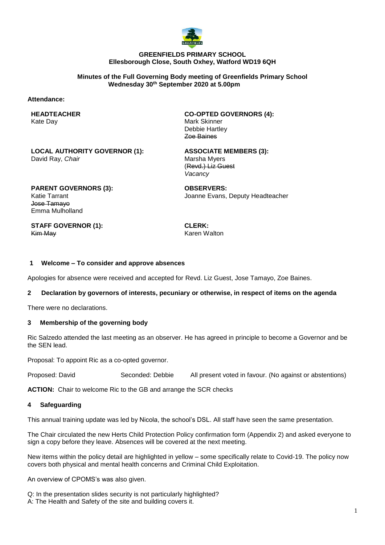

### **GREENFIELDS PRIMARY SCHOOL Ellesborough Close, South Oxhey, Watford WD19 6QH**

#### **Minutes of the Full Governing Body meeting of Greenfields Primary School Wednesday 30th September 2020 at 5.00pm**

### **Attendance:**

**HEADTEACHER** Kate Day

**CO-OPTED GOVERNORS (4):** Mark Skinner Debbie Hartley Zoe Baines

**LOCAL AUTHORITY GOVERNOR (1):** David Ray, *Chair*

**ASSOCIATE MEMBERS (3):** Marsha Myers (Revd.) Liz Guest *Vacancy*

**PARENT GOVERNORS (3):** Katie Tarrant Jose Tamayo Emma Mulholland

**STAFF GOVERNOR (1):** Kim May

**OBSERVERS:** Joanne Evans, Deputy Headteacher

**CLERK:** Karen Walton

### **1 Welcome – To consider and approve absences**

Apologies for absence were received and accepted for Revd. Liz Guest, Jose Tamayo, Zoe Baines.

### **2 Declaration by governors of interests, pecuniary or otherwise, in respect of items on the agenda**

There were no declarations.

### **3 Membership of the governing body**

Ric Salzedo attended the last meeting as an observer. He has agreed in principle to become a Governor and be the SEN lead.

Proposal: To appoint Ric as a co-opted governor.

Proposed: David Seconded: Debbie All present voted in favour. (No against or abstentions)

**ACTION:** Chair to welcome Ric to the GB and arrange the SCR checks

### **4 Safeguarding**

This annual training update was led by Nicola, the school's DSL. All staff have seen the same presentation.

The Chair circulated the new Herts Child Protection Policy confirmation form (Appendix 2) and asked everyone to sign a copy before they leave. Absences will be covered at the next meeting.

New items within the policy detail are highlighted in yellow – some specifically relate to Covid-19. The policy now covers both physical and mental health concerns and Criminal Child Exploitation.

An overview of CPOMS's was also given.

- Q: In the presentation slides security is not particularly highlighted?
- A: The Health and Safety of the site and building covers it.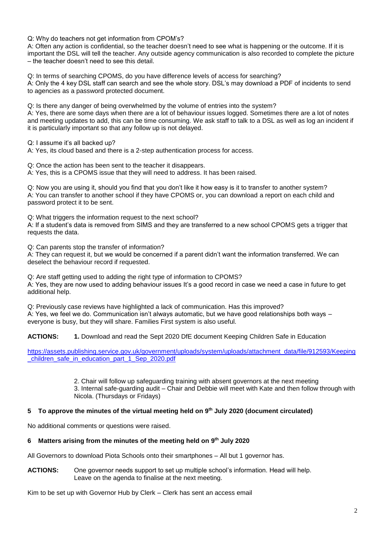Q: Why do teachers not get information from CPOM's?

A: Often any action is confidential, so the teacher doesn't need to see what is happening or the outcome. If it is important the DSL will tell the teacher. Any outside agency communication is also recorded to complete the picture – the teacher doesn't need to see this detail.

Q: In terms of searching CPOMS, do you have difference levels of access for searching? A: Only the 4 key DSL staff can search and see the whole story. DSL's may download a PDF of incidents to send to agencies as a password protected document.

Q: Is there any danger of being overwhelmed by the volume of entries into the system?

A: Yes, there are some days when there are a lot of behaviour issues logged. Sometimes there are a lot of notes and meeting updates to add, this can be time consuming. We ask staff to talk to a DSL as well as log an incident if it is particularly important so that any follow up is not delayed.

Q: I assume it's all backed up?

A: Yes, its cloud based and there is a 2-step authentication process for access.

Q: Once the action has been sent to the teacher it disappears.

A: Yes, this is a CPOMS issue that they will need to address. It has been raised.

Q: Now you are using it, should you find that you don't like it how easy is it to transfer to another system? A: You can transfer to another school if they have CPOMS or, you can download a report on each child and password protect it to be sent.

Q: What triggers the information request to the next school?

A: If a student's data is removed from SIMS and they are transferred to a new school CPOMS gets a trigger that requests the data.

Q: Can parents stop the transfer of information?

A: They can request it, but we would be concerned if a parent didn't want the information transferred. We can deselect the behaviour record if requested.

Q: Are staff getting used to adding the right type of information to CPOMS? A: Yes, they are now used to adding behaviour issues It's a good record in case we need a case in future to get additional help.

Q: Previously case reviews have highlighted a lack of communication. Has this improved? A: Yes, we feel we do. Communication isn't always automatic, but we have good relationships both ways – everyone is busy, but they will share. Families First system is also useful.

ACTIONS: 1. Download and read the Sept 2020 DfE document Keeping Children Safe in Education

[https://assets.publishing.service.gov.uk/government/uploads/system/uploads/attachment\\_data/file/912593/Keeping](https://assets.publishing.service.gov.uk/government/uploads/system/uploads/attachment_data/file/912593/Keeping_children_safe_in_education_part_1_Sep_2020.pdf) children\_safe\_in\_education\_part\_1\_Sep\_2020.pdf

> 2. Chair will follow up safeguarding training with absent governors at the next meeting 3. Internal safe-guarding audit – Chair and Debbie will meet with Kate and then follow through with Nicola. (Thursdays or Fridays)

## **5 To approve the minutes of the virtual meeting held on 9 th July 2020 (document circulated)**

No additional comments or questions were raised.

## **6 Matters arising from the minutes of the meeting held on 9 th July 2020**

All Governors to download Piota Schools onto their smartphones – All but 1 governor has.

**ACTIONS:** One governor needs support to set up multiple school's information. Head will help. Leave on the agenda to finalise at the next meeting.

Kim to be set up with Governor Hub by Clerk – Clerk has sent an access email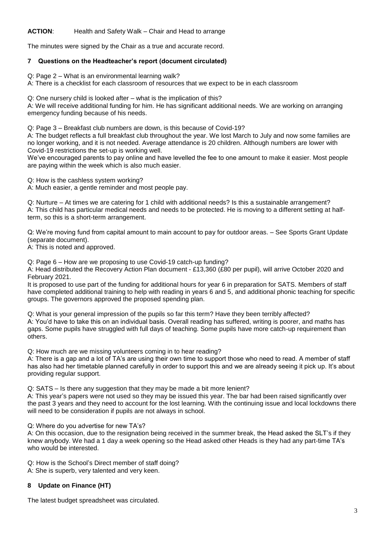# **ACTION**: Health and Safety Walk – Chair and Head to arrange

The minutes were signed by the Chair as a true and accurate record.

## **7 Questions on the Headteacher's report (document circulated)**

Q: Page 2 – What is an environmental learning walk?

A: There is a checklist for each classroom of resources that we expect to be in each classroom

Q: One nursery child is looked after – what is the implication of this?

A: We will receive additional funding for him. He has significant additional needs. We are working on arranging emergency funding because of his needs.

Q: Page 3 – Breakfast club numbers are down, is this because of Covid-19?

A: The budget reflects a full breakfast club throughout the year. We lost March to July and now some families are no longer working, and it is not needed. Average attendance is 20 children. Although numbers are lower with Covid-19 restrictions the set-up is working well.

We've encouraged parents to pay online and have levelled the fee to one amount to make it easier. Most people are paying within the week which is also much easier.

Q: How is the cashless system working?

A: Much easier, a gentle reminder and most people pay.

Q: Nurture – At times we are catering for 1 child with additional needs? Is this a sustainable arrangement? A: This child has particular medical needs and needs to be protected. He is moving to a different setting at halfterm, so this is a short-term arrangement.

Q: We're moving fund from capital amount to main account to pay for outdoor areas. – See Sports Grant Update (separate document).

A: This is noted and approved.

Q: Page 6 – How are we proposing to use Covid-19 catch-up funding?

A: Head distributed the Recovery Action Plan document - £13,360 (£80 per pupil), will arrive October 2020 and February 2021.

It is proposed to use part of the funding for additional hours for year 6 in preparation for SATS. Members of staff have completed additional training to help with reading in years 6 and 5, and additional phonic teaching for specific groups. The governors approved the proposed spending plan.

Q: What is your general impression of the pupils so far this term? Have they been terribly affected? A: You'd have to take this on an individual basis. Overall reading has suffered, writing is poorer, and maths has gaps. Some pupils have struggled with full days of teaching. Some pupils have more catch-up requirement than others.

Q: How much are we missing volunteers coming in to hear reading?

A: There is a gap and a lot of TA's are using their own time to support those who need to read. A member of staff has also had her timetable planned carefully in order to support this and we are already seeing it pick up. It's about providing regular support.

Q: SATS – Is there any suggestion that they may be made a bit more lenient?

A: This year's papers were not used so they may be issued this year. The bar had been raised significantly over the past 3 years and they need to account for the lost learning. With the continuing issue and local lockdowns there will need to be consideration if pupils are not always in school.

Q: Where do you advertise for new TA's?

A: On this occasion, due to the resignation being received in the summer break, the Head asked the SLT's if they knew anybody. We had a 1 day a week opening so the Head asked other Heads is they had any part-time TA's who would be interested.

Q: How is the School's Direct member of staff doing?

A: She is superb, very talented and very keen.

# **8 Update on Finance (HT)**

The latest budget spreadsheet was circulated.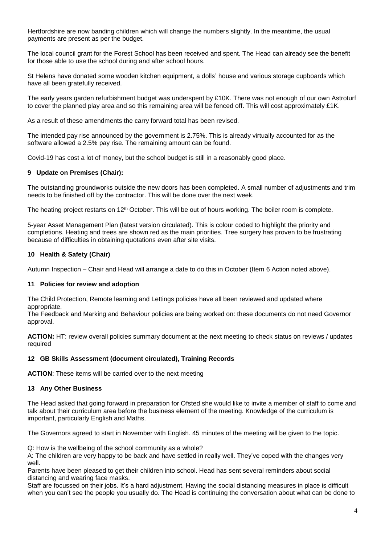Hertfordshire are now banding children which will change the numbers slightly. In the meantime, the usual payments are present as per the budget.

The local council grant for the Forest School has been received and spent. The Head can already see the benefit for those able to use the school during and after school hours.

St Helens have donated some wooden kitchen equipment, a dolls' house and various storage cupboards which have all been gratefully received.

The early years garden refurbishment budget was underspent by £10K. There was not enough of our own Astroturf to cover the planned play area and so this remaining area will be fenced off. This will cost approximately £1K.

As a result of these amendments the carry forward total has been revised.

The intended pay rise announced by the government is 2.75%. This is already virtually accounted for as the software allowed a 2.5% pay rise. The remaining amount can be found.

Covid-19 has cost a lot of money, but the school budget is still in a reasonably good place.

## **9 Update on Premises (Chair):**

The outstanding groundworks outside the new doors has been completed. A small number of adjustments and trim needs to be finished off by the contractor. This will be done over the next week.

The heating project restarts on 12<sup>th</sup> October. This will be out of hours working. The boiler room is complete.

5-year Asset Management Plan (latest version circulated). This is colour coded to highlight the priority and completions. Heating and trees are shown red as the main priorities. Tree surgery has proven to be frustrating because of difficulties in obtaining quotations even after site visits.

### **10 Health & Safety (Chair)**

Autumn Inspection – Chair and Head will arrange a date to do this in October (Item 6 Action noted above).

### **11 Policies for review and adoption**

The Child Protection, Remote learning and Lettings policies have all been reviewed and updated where appropriate.

The Feedback and Marking and Behaviour policies are being worked on: these documents do not need Governor approval.

**ACTION:** HT: review overall policies summary document at the next meeting to check status on reviews / updates required

### **12 GB Skills Assessment (document circulated), Training Records**

**ACTION**: These items will be carried over to the next meeting

## **13 Any Other Business**

The Head asked that going forward in preparation for Ofsted she would like to invite a member of staff to come and talk about their curriculum area before the business element of the meeting. Knowledge of the curriculum is important, particularly English and Maths.

The Governors agreed to start in November with English. 45 minutes of the meeting will be given to the topic.

Q: How is the wellbeing of the school community as a whole?

A: The children are very happy to be back and have settled in really well. They've coped with the changes very well.

Parents have been pleased to get their children into school. Head has sent several reminders about social distancing and wearing face masks.

Staff are focussed on their jobs. It's a hard adjustment. Having the social distancing measures in place is difficult when you can't see the people you usually do. The Head is continuing the conversation about what can be done to